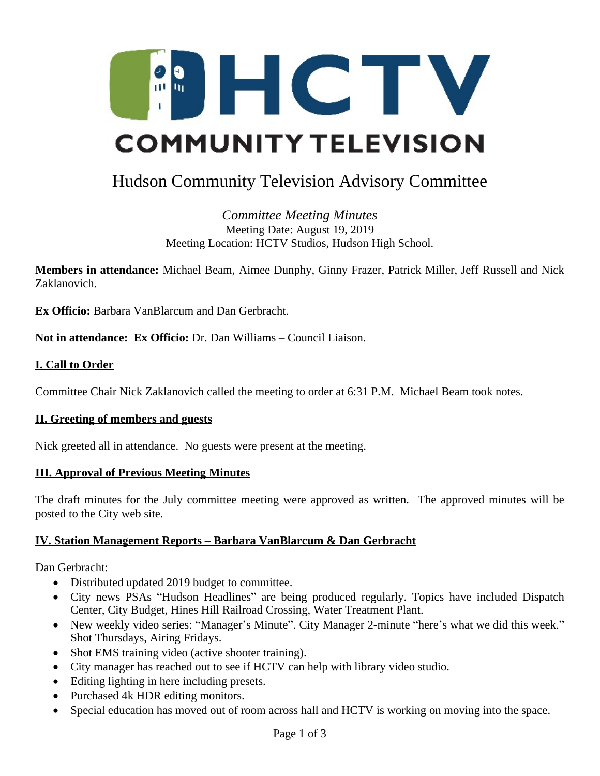

# Hudson Community Television Advisory Committee

*Committee Meeting Minutes* Meeting Date: August 19, 2019 Meeting Location: HCTV Studios, Hudson High School.

**Members in attendance:** Michael Beam, Aimee Dunphy, Ginny Frazer, Patrick Miller, Jeff Russell and Nick Zaklanovich.

**Ex Officio:** Barbara VanBlarcum and Dan Gerbracht.

**Not in attendance: Ex Officio:** Dr. Dan Williams – Council Liaison.

# **I. Call to Order**

Committee Chair Nick Zaklanovich called the meeting to order at 6:31 P.M. Michael Beam took notes.

### **II. Greeting of members and guests**

Nick greeted all in attendance. No guests were present at the meeting.

#### **III. Approval of Previous Meeting Minutes**

The draft minutes for the July committee meeting were approved as written. The approved minutes will be posted to the City web site.

### **IV. Station Management Reports – Barbara VanBlarcum & Dan Gerbracht**

Dan Gerbracht:

- Distributed updated 2019 budget to committee.
- City news PSAs "Hudson Headlines" are being produced regularly. Topics have included Dispatch Center, City Budget, Hines Hill Railroad Crossing, Water Treatment Plant.
- New weekly video series: "Manager's Minute". City Manager 2-minute "here's what we did this week." Shot Thursdays, Airing Fridays.
- Shot EMS training video (active shooter training).
- City manager has reached out to see if HCTV can help with library video studio.
- Editing lighting in here including presets.
- Purchased 4k HDR editing monitors.
- Special education has moved out of room across hall and HCTV is working on moving into the space.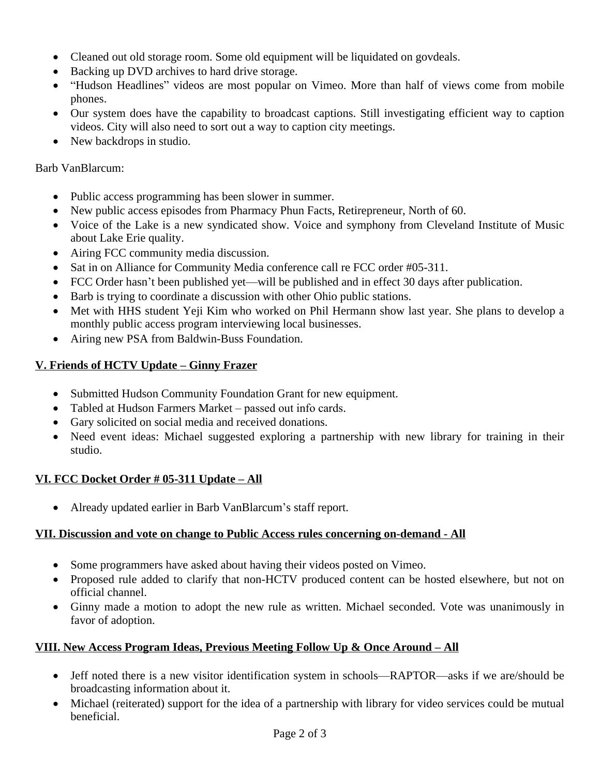- Cleaned out old storage room. Some old equipment will be liquidated on govdeals.
- Backing up DVD archives to hard drive storage.
- "Hudson Headlines" videos are most popular on Vimeo. More than half of views come from mobile phones.
- Our system does have the capability to broadcast captions. Still investigating efficient way to caption videos. City will also need to sort out a way to caption city meetings.
- New backdrops in studio.

Barb VanBlarcum:

- Public access programming has been slower in summer.
- New public access episodes from Pharmacy Phun Facts, Retirepreneur, North of 60.
- Voice of the Lake is a new syndicated show. Voice and symphony from Cleveland Institute of Music about Lake Erie quality.
- Airing FCC community media discussion.
- Sat in on Alliance for Community Media conference call re FCC order #05-311.
- FCC Order hasn't been published yet—will be published and in effect 30 days after publication.
- Barb is trying to coordinate a discussion with other Ohio public stations.
- Met with HHS student Yeji Kim who worked on Phil Hermann show last year. She plans to develop a monthly public access program interviewing local businesses.
- Airing new PSA from Baldwin-Buss Foundation.

# **V. Friends of HCTV Update – Ginny Frazer**

- Submitted Hudson Community Foundation Grant for new equipment.
- Tabled at Hudson Farmers Market passed out info cards.
- Gary solicited on social media and received donations.
- Need event ideas: Michael suggested exploring a partnership with new library for training in their studio.

### **VI. FCC Docket Order # 05-311 Update – All**

Already updated earlier in Barb VanBlarcum's staff report.

### **VII. Discussion and vote on change to Public Access rules concerning on-demand - All**

- Some programmers have asked about having their videos posted on Vimeo.
- Proposed rule added to clarify that non-HCTV produced content can be hosted elsewhere, but not on official channel.
- Ginny made a motion to adopt the new rule as written. Michael seconded. Vote was unanimously in favor of adoption.

# **VIII. New Access Program Ideas, Previous Meeting Follow Up & Once Around – All**

- Jeff noted there is a new visitor identification system in schools—RAPTOR—asks if we are/should be broadcasting information about it.
- Michael (reiterated) support for the idea of a partnership with library for video services could be mutual beneficial.